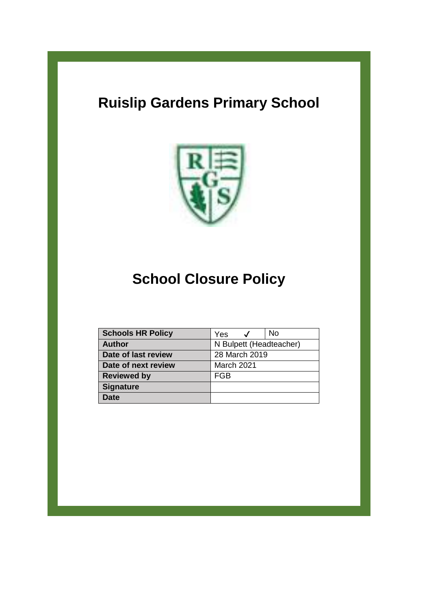# **Ruislip Gardens Primary School**



# **School Closure Policy**

| <b>Schools HR Policy</b> | No<br>Yes               |
|--------------------------|-------------------------|
| <b>Author</b>            | N Bulpett (Headteacher) |
| Date of last review      | 28 March 2019           |
| Date of next review      | March 2021              |
| <b>Reviewed by</b>       | FGB                     |
| <b>Signature</b>         |                         |
| Date                     |                         |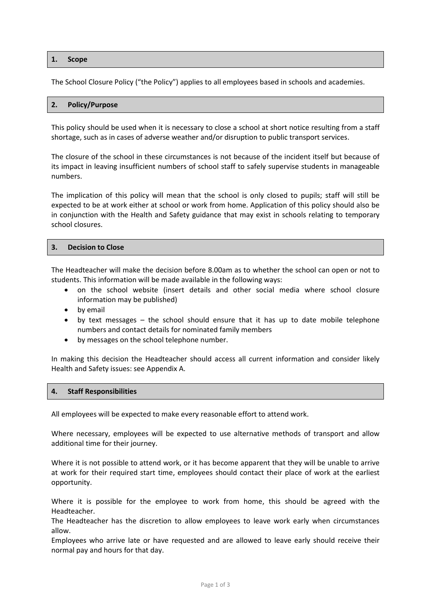## **1. Scope**

The School Closure Policy ("the Policy") applies to all employees based in schools and academies.

#### **2. Policy/Purpose**

This policy should be used when it is necessary to close a school at short notice resulting from a staff shortage, such as in cases of adverse weather and/or disruption to public transport services.

The closure of the school in these circumstances is not because of the incident itself but because of its impact in leaving insufficient numbers of school staff to safely supervise students in manageable numbers.

The implication of this policy will mean that the school is only closed to pupils; staff will still be expected to be at work either at school or work from home. Application of this policy should also be in conjunction with the Health and Safety guidance that may exist in schools relating to temporary school closures.

#### **3. Decision to Close**

The Headteacher will make the decision before 8.00am as to whether the school can open or not to students. This information will be made available in the following ways:

- on the school website (insert details and other social media where school closure information may be published)
- by email
- by text messages the school should ensure that it has up to date mobile telephone numbers and contact details for nominated family members
- by messages on the school telephone number.

In making this decision the Headteacher should access all current information and consider likely Health and Safety issues: see Appendix A.

#### **4. Staff Responsibilities**

All employees will be expected to make every reasonable effort to attend work.

Where necessary, employees will be expected to use alternative methods of transport and allow additional time for their journey.

Where it is not possible to attend work, or it has become apparent that they will be unable to arrive at work for their required start time, employees should contact their place of work at the earliest opportunity.

Where it is possible for the employee to work from home, this should be agreed with the Headteacher.

The Headteacher has the discretion to allow employees to leave work early when circumstances allow.

Employees who arrive late or have requested and are allowed to leave early should receive their normal pay and hours for that day.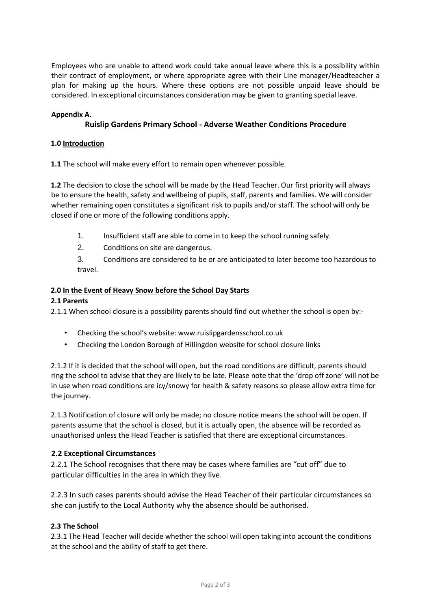Employees who are unable to attend work could take annual leave where this is a possibility within their contract of employment, or where appropriate agree with their Line manager/Headteacher a plan for making up the hours. Where these options are not possible unpaid leave should be considered. In exceptional circumstances consideration may be given to granting special leave.

# **Appendix A.**

# **Ruislip Gardens Primary School - Adverse Weather Conditions Procedure**

## **1.0 Introduction**

**1.1** The school will make every effort to remain open whenever possible.

**1.2** The decision to close the school will be made by the Head Teacher. Our first priority will always be to ensure the health, safety and wellbeing of pupils, staff, parents and families. We will consider whether remaining open constitutes a significant risk to pupils and/or staff. The school will only be closed if one or more of the following conditions apply.

- 1. Insufficient staff are able to come in to keep the school running safely.
- 2. Conditions on site are dangerous.

3. Conditions are considered to be or are anticipated to later become too hazardous to travel.

# **2.0 In the Event of Heavy Snow before the School Day Starts**

## **2.1 Parents**

2.1.1 When school closure is a possibility parents should find out whether the school is open by:-

- Checking the school's website: www.ruislipgardensschool.co.uk
- Checking the London Borough of Hillingdon website for school closure links

2.1.2 If it is decided that the school will open, but the road conditions are difficult, parents should ring the school to advise that they are likely to be late. Please note that the 'drop off zone' will not be in use when road conditions are icy/snowy for health & safety reasons so please allow extra time for the journey.

2.1.3 Notification of closure will only be made; no closure notice means the school will be open. If parents assume that the school is closed, but it is actually open, the absence will be recorded as unauthorised unless the Head Teacher is satisfied that there are exceptional circumstances.

## **2.2 Exceptional Circumstances**

2.2.1 The School recognises that there may be cases where families are "cut off" due to particular difficulties in the area in which they live.

2.2.3 In such cases parents should advise the Head Teacher of their particular circumstances so she can justify to the Local Authority why the absence should be authorised.

## **2.3 The School**

2.3.1 The Head Teacher will decide whether the school will open taking into account the conditions at the school and the ability of staff to get there.